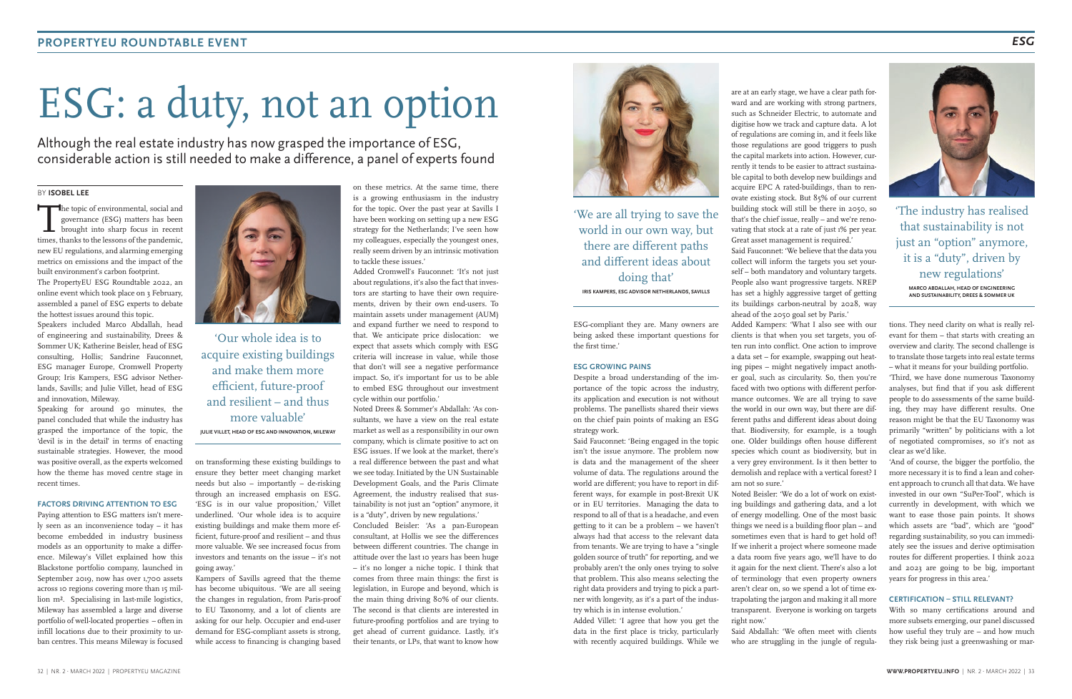# ESG: a duty, not an option

Although the real estate industry has now grasped the importance of ESG, considerable action is still needed to make a difference, a panel of experts found

The topic of environmental, social and<br>governance (ESG) matters has been<br>brought into sharp focus in recent<br>times thanks to the lessons of the pandemic governance (ESG) matters has been times, thanks to the lessons of the pandemic, new EU regulations, and alarming emerging metrics on emissions and the impact of the built environment's carbon footprint.

# BY **ISOBEL LEE**

The PropertyEU ESG Roundtable 2022, an online event which took place on 3 February, assembled a panel of ESG experts to debate the hottest issues around this topic.

Speaking for around 90 minutes, the panel concluded that while the industry has grasped the importance of the topic, the 'devil is in the detail' in terms of enacting sustainable strategies. However, the mood was positive overall, as the experts welcomed how the theme has moved centre stage in recent times.

Speakers included Marco Abdallah, head of engineering and sustainability, Drees & Sommer UK; Katherine Beisler, head of ESG consulting, Hollis; Sandrine Fauconnet, ESG manager Europe, Cromwell Property Group; Iris Kampers, ESG advisor Netherlands, Savills; and Julie Villet, head of ESG and innovation, Mileway.

### **FACTORS DRIVING ATTENTION TO ESG**

Paying attention to ESG matters isn't merely seen as an inconvenience today – it has become embedded in industry business models as an opportunity to make a difference. Mileway's Villet explained how this Blackstone portfolio company, launched in September 2019, now has over 1,700 assets across 10 regions covering more than 15 million m². Specialising in last-mile logistics, Mileway has assembled a large and diverse portfolio of well-located properties – often in infill locations due to their proximity to urban centres. This means Mileway is focused



on transforming these existing buildings to ensure they better meet changing market needs but also – importantly – de-risking through an increased emphasis on ESG. 'ESG is in our value proposition,' Villet underlined. 'Our whole idea is to acquire existing buildings and make them more efficient, future-proof and resilient – and thus more valuable. We see increased focus from investors and tenants on the issue – it's not going away.'

Kampers of Savills agreed that the theme has become ubiquitous. 'We are all seeing the changes in regulation, from Paris-proof to EU Taxonomy, and a lot of clients are asking for our help. Occupier and end-user demand for ESG-compliant assets is strong, while access to financing is changing based

on these metrics. At the same time, there is a growing enthusiasm in the industry for the topic. Over the past year at Savills I have been working on setting up a new ESG strategy for the Netherlands; I've seen how my colleagues, especially the youngest ones, really seem driven by an intrinsic motivation to tackle these issues.'

Added Cromwell's Fauconnet: 'It's not just about regulations, it's also the fact that investors are starting to have their own requirements, driven by their own end-users. To maintain assets under management (AUM) and expand further we need to respond to that. We anticipate price dislocation: we expect that assets which comply with ESG criteria will increase in value, while those that don't will see a negative performance impact. So, it's important for us to be able to embed ESG throughout our investment cycle within our portfolio.'

Noted Drees & Sommer's Abdallah: 'As consultants, we have a view on the real estate market as well as a responsibility in our own company, which is climate positive to act on ESG issues. If we look at the market, there's a real difference between the past and what we see today. Initiated by the UN Sustainable Development Goals, and the Paris Climate Agreement, the industry realised that sustainability is not just an "option" anymore, it is a "duty", driven by new regulations.'

Concluded Beisler: 'As a pan-European consultant, at Hollis we see the differences between different countries. The change in attitude over the last 10 years has been huge – it's no longer a niche topic. I think that comes from three main things: the first is legislation, in Europe and beyond, which is the main thing driving 80% of our clients. The second is that clients are interested in future-proofing portfolios and are trying to get ahead of current guidance. Lastly, it's their tenants, or LPs, that want to know how



ESG-compliant they are. Many owners are being asked these important questions for the first time.'

#### **ESG GROWING PAINS**

Despite a broad understanding of the importance of the topic across the industry, its application and execution is not without problems. The panellists shared their views on the chief pain points of making an ESG strategy work.

Said Fauconnet: 'Being engaged in the topic isn't the issue anymore. The problem now is data and the management of the sheer volume of data. The regulations around the world are different; you have to report in different ways, for example in post-Brexit UK or in EU territories. Managing the data to respond to all of that is a headache, and even getting to it can be a problem – we haven't always had that access to the relevant data from tenants. We are trying to have a "single golden source of truth" for reporting, and we probably aren't the only ones trying to solve that problem. This also means selecting the right data providers and trying to pick a partner with longevity, as it's a part of the industry which is in intense evolution.'

Added Villet: 'I agree that how you get the data in the first place is tricky, particularly with recently acquired buildings. While we

are at an early stage, we have a clear path forward and are working with strong partners, such as Schneider Electric, to automate and digitise how we track and capture data. A lot of regulations are coming in, and it feels like those regulations are good triggers to push the capital markets into action. However, currently it tends to be easier to attract sustainable capital to both develop new buildings and acquire EPC A rated-buildings, than to ren-

building stock will still be there in 2050, so that's the chief issue, really – and we're renovating that stock at a rate of just 1% per year. Great asset management is required.'

collect will inform the targets you set yourself – both mandatory and voluntary targets. People also want progressive targets. NREP has set a highly aggressive target of getting its buildings carbon-neutral by 2028, way

ovate existing stock. But 85% of our current Said Fauconnet: 'We believe that the data you ahead of the 2050 goal set by Paris.' am not so sure.'

Added Kampers: 'What I also see with our clients is that when you set targets, you often run into conflict. One action to improve a data set – for example, swapping out heating pipes – might negatively impact another goal, such as circularity. So, then you're faced with two options with different performance outcomes. We are all trying to save the world in our own way, but there are different paths and different ideas about doing that. Biodiversity, for example, is a tough one. Older buildings often house different species which count as biodiversity, but in a very grey environment. Is it then better to demolish and replace with a vertical forest? I

Noted Beisler: 'We do a lot of work on existing buildings and gathering data, and a lot of energy modelling. One of the most basic things we need is a building floor plan – and sometimes even that is hard to get hold of! If we inherit a project where someone made a data room five years ago, we'll have to do it again for the next client. There's also a lot of terminology that even property owners aren't clear on, so we spend a lot of time extrapolating the jargon and making it all more transparent. Everyone is working on targets right now.' Said Abdallah: 'We often meet with clients

who are struggling in the jungle of regula-

tions. They need clarity on what is really relevant for them – that starts with creating an overview and clarity. The second challenge is to translate those targets into real estate terms – what it means for your building portfolio.

'Third, we have done numerous Taxonomy analyses, but find that if you ask different people to do assessments of the same building, they may have different results. One reason might be that the EU Taxonomy was primarily "written" by politicians with a lot of negotiated compromises, so it's not as clear as we'd like.

'And of course, the bigger the portfolio, the more necessary it is to find a lean and coherent approach to crunch all that data. We have invested in our own "SuPer-Tool", which is currently in development, with which we want to ease those pain points. It shows which assets are "bad", which are "good" regarding sustainability, so you can immediately see the issues and derive optimisation routes for different properties. I think 2022 and 2023 are going to be big, important years for progress in this area.'

## **CERTIFICATION – STILL RELEVANT?**

With so many certifications around and more subsets emerging, our panel discussed how useful they truly are – and how much they risk being just a greenwashing or mar-

'Our whole idea is to acquire existing buildings and make them more efficient, future-proof and resilient – and thus more valuable'

**JULIE VILLET, HEAD OF ESG AND INNOVATION, MILEWAY**

'We are all trying to save the world in our own way, but there are different paths and different ideas about doing that' **IRIS KAMPERS, ESG ADVISOR NETHERLANDS, SAVILLS**

'The industry has realised that sustainability is not just an "option" anymore, it is a "duty", driven by new regulations' **MARCO ABDALLAH, HEAD OF ENGINEERING AND SUSTAINABILITY, DREES & SOMMER UK**